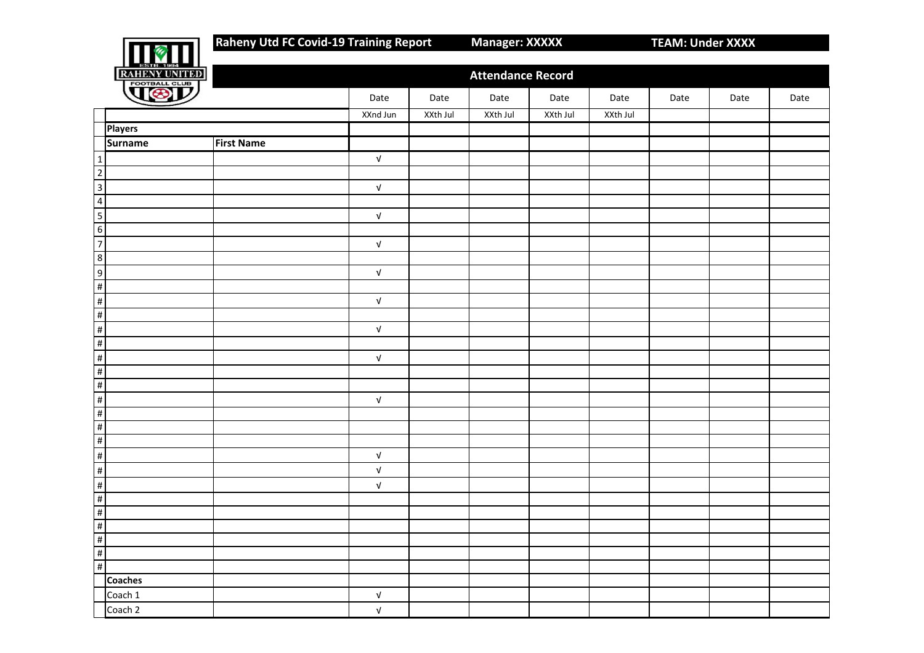**Raheny Utd FC Covid-19 Training Report Manager: XXXXX TEAM: Under XXXX** 

| ਕਾ                 |
|--------------------|
| <u>HENY UNITE</u>  |
| <b>OTBALL CLUB</b> |

|                                                                               | RAHENY UNITED  |                   |                           |          | <b>Attendance Record</b> |          |          |      |      |      |
|-------------------------------------------------------------------------------|----------------|-------------------|---------------------------|----------|--------------------------|----------|----------|------|------|------|
|                                                                               |                |                   | Date                      | Date     | Date                     | Date     | Date     | Date | Date | Date |
|                                                                               |                |                   | XXnd Jun                  | XXth Jul | XXth Jul                 | XXth Jul | XXth Jul |      |      |      |
|                                                                               | <b>Players</b> |                   |                           |          |                          |          |          |      |      |      |
|                                                                               | <b>Surname</b> | <b>First Name</b> |                           |          |                          |          |          |      |      |      |
| $\overline{1}$                                                                |                |                   | $\sqrt{ }$                |          |                          |          |          |      |      |      |
|                                                                               |                |                   |                           |          |                          |          |          |      |      |      |
| $\frac{2}{3}$                                                                 |                |                   | $\sqrt{ }$                |          |                          |          |          |      |      |      |
|                                                                               |                |                   |                           |          |                          |          |          |      |      |      |
|                                                                               |                |                   | $\sqrt{ }$                |          |                          |          |          |      |      |      |
| $\frac{4}{5}$ $\frac{5}{7}$                                                   |                |                   |                           |          |                          |          |          |      |      |      |
|                                                                               |                |                   | $\ensuremath{\mathsf{V}}$ |          |                          |          |          |      |      |      |
|                                                                               |                |                   |                           |          |                          |          |          |      |      |      |
|                                                                               |                |                   | ${\sf V}$                 |          |                          |          |          |      |      |      |
|                                                                               |                |                   |                           |          |                          |          |          |      |      |      |
| $\frac{8}{9}$ $\frac{9}{1}$                                                   |                |                   | $\sqrt{ }$                |          |                          |          |          |      |      |      |
| $\frac{1}{2}$                                                                 |                |                   |                           |          |                          |          |          |      |      |      |
| $\frac{4}{1}$                                                                 |                |                   | $\ensuremath{\mathsf{V}}$ |          |                          |          |          |      |      |      |
| $\frac{4}{1}$                                                                 |                |                   |                           |          |                          |          |          |      |      |      |
| $\frac{4}{1}$                                                                 |                |                   | $\sqrt{ }$                |          |                          |          |          |      |      |      |
| $\frac{1}{2}$                                                                 |                |                   |                           |          |                          |          |          |      |      |      |
|                                                                               |                |                   |                           |          |                          |          |          |      |      |      |
|                                                                               |                |                   | $\sqrt{ }$                |          |                          |          |          |      |      |      |
|                                                                               |                |                   |                           |          |                          |          |          |      |      |      |
|                                                                               |                |                   |                           |          |                          |          |          |      |      |      |
|                                                                               |                |                   |                           |          |                          |          |          |      |      |      |
| #  # #  #  #  #  #                                                            |                |                   | ${\sf V}$                 |          |                          |          |          |      |      |      |
|                                                                               |                |                   | $\ensuremath{\mathsf{V}}$ |          |                          |          |          |      |      |      |
|                                                                               |                |                   | $\ensuremath{\mathsf{V}}$ |          |                          |          |          |      |      |      |
| $\frac{\#}{\#}$                                                               |                |                   |                           |          |                          |          |          |      |      |      |
|                                                                               |                |                   |                           |          |                          |          |          |      |      |      |
|                                                                               |                |                   |                           |          |                          |          |          |      |      |      |
| $\begin{array}{c}\n\text{#} \\ \text{#} \\ \text{#} \\ \text{#}\n\end{array}$ |                |                   |                           |          |                          |          |          |      |      |      |
|                                                                               |                |                   |                           |          |                          |          |          |      |      |      |
|                                                                               |                |                   |                           |          |                          |          |          |      |      |      |
|                                                                               | <b>Coaches</b> |                   |                           |          |                          |          |          |      |      |      |
|                                                                               | Coach 1        |                   | $\sqrt{ }$                |          |                          |          |          |      |      |      |
|                                                                               | Coach 2        |                   | $\sqrt{ }$                |          |                          |          |          |      |      |      |